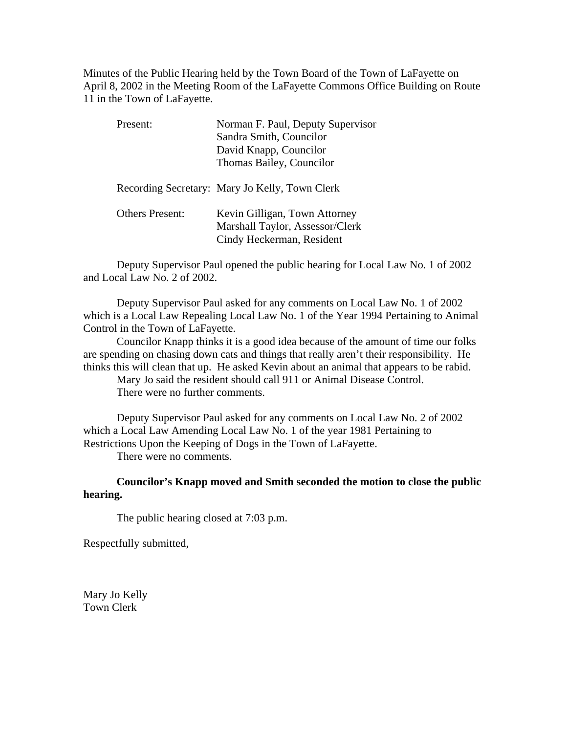Minutes of the Public Hearing held by the Town Board of the Town of LaFayette on April 8, 2002 in the Meeting Room of the LaFayette Commons Office Building on Route 11 in the Town of LaFayette.

| Present:               | Norman F. Paul, Deputy Supervisor<br>Sandra Smith, Councilor<br>David Knapp, Councilor<br>Thomas Bailey, Councilor |
|------------------------|--------------------------------------------------------------------------------------------------------------------|
|                        | Recording Secretary: Mary Jo Kelly, Town Clerk                                                                     |
| <b>Others Present:</b> | Kevin Gilligan, Town Attorney<br>Marshall Taylor, Assessor/Clerk<br>Cindy Heckerman, Resident                      |

Deputy Supervisor Paul opened the public hearing for Local Law No. 1 of 2002 and Local Law No. 2 of 2002.

Deputy Supervisor Paul asked for any comments on Local Law No. 1 of 2002 which is a Local Law Repealing Local Law No. 1 of the Year 1994 Pertaining to Animal Control in the Town of LaFayette.

Councilor Knapp thinks it is a good idea because of the amount of time our folks are spending on chasing down cats and things that really aren't their responsibility. He thinks this will clean that up. He asked Kevin about an animal that appears to be rabid.

Mary Jo said the resident should call 911 or Animal Disease Control. There were no further comments.

Deputy Supervisor Paul asked for any comments on Local Law No. 2 of 2002 which a Local Law Amending Local Law No. 1 of the year 1981 Pertaining to Restrictions Upon the Keeping of Dogs in the Town of LaFayette.

There were no comments.

### **Councilor's Knapp moved and Smith seconded the motion to close the public hearing.**

The public hearing closed at 7:03 p.m.

Respectfully submitted,

Mary Jo Kelly Town Clerk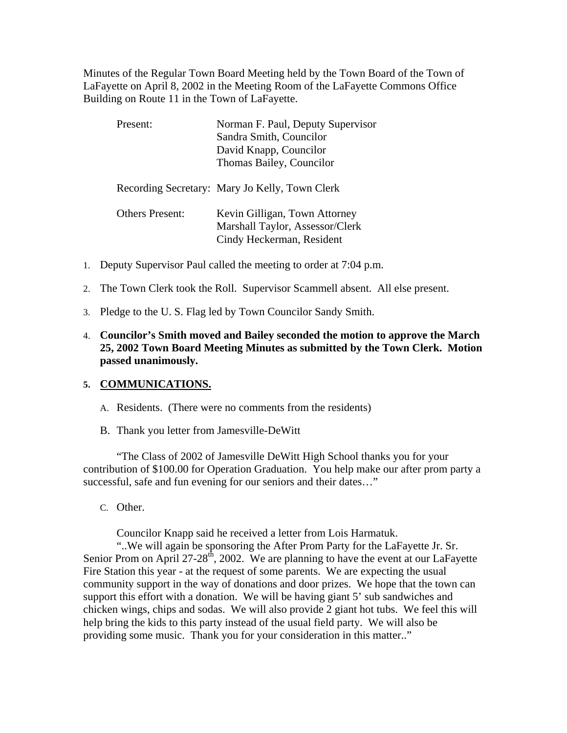Minutes of the Regular Town Board Meeting held by the Town Board of the Town of LaFayette on April 8, 2002 in the Meeting Room of the LaFayette Commons Office Building on Route 11 in the Town of LaFayette.

| Present: |                        | Norman F. Paul, Deputy Supervisor<br>Sandra Smith, Councilor<br>David Knapp, Councilor<br>Thomas Bailey, Councilor |
|----------|------------------------|--------------------------------------------------------------------------------------------------------------------|
|          |                        | Recording Secretary: Mary Jo Kelly, Town Clerk                                                                     |
|          | <b>Others Present:</b> | Kevin Gilligan, Town Attorney<br>Marshall Taylor, Assessor/Clerk<br>Cindy Heckerman, Resident                      |

- 1. Deputy Supervisor Paul called the meeting to order at 7:04 p.m.
- 2. The Town Clerk took the Roll. Supervisor Scammell absent. All else present.
- 3. Pledge to the U. S. Flag led by Town Councilor Sandy Smith.
- 4. **Councilor's Smith moved and Bailey seconded the motion to approve the March 25, 2002 Town Board Meeting Minutes as submitted by the Town Clerk. Motion passed unanimously.**

### **5. COMMUNICATIONS.**

- A. Residents. (There were no comments from the residents)
- B. Thank you letter from Jamesville-DeWitt

"The Class of 2002 of Jamesville DeWitt High School thanks you for your contribution of \$100.00 for Operation Graduation. You help make our after prom party a successful, safe and fun evening for our seniors and their dates..."

C. Other.

Councilor Knapp said he received a letter from Lois Harmatuk.

"..We will again be sponsoring the After Prom Party for the LaFayette Jr. Sr. Senior Prom on April 27-28<sup>th</sup>, 2002. We are planning to have the event at our LaFayette Fire Station this year - at the request of some parents. We are expecting the usual community support in the way of donations and door prizes. We hope that the town can support this effort with a donation. We will be having giant 5' sub sandwiches and chicken wings, chips and sodas. We will also provide 2 giant hot tubs. We feel this will help bring the kids to this party instead of the usual field party. We will also be providing some music. Thank you for your consideration in this matter.."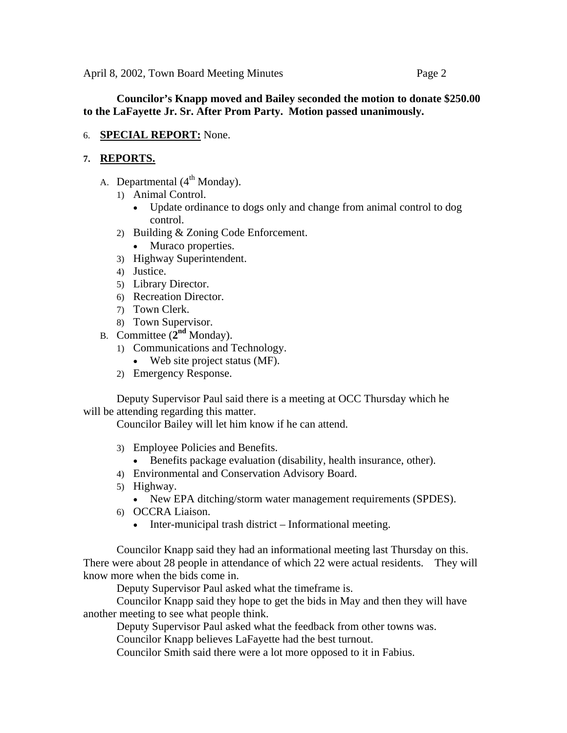# **Councilor's Knapp moved and Bailey seconded the motion to donate \$250.00 to the LaFayette Jr. Sr. After Prom Party. Motion passed unanimously.**

6. **SPECIAL REPORT:** None.

# **7. REPORTS.**

- A. Departmental  $(4<sup>th</sup> Monday)$ .
	- 1) Animal Control.
		- Update ordinance to dogs only and change from animal control to dog control.
	- 2) Building & Zoning Code Enforcement.
		- Muraco properties.
	- 3) Highway Superintendent.
	- 4) Justice.
	- 5) Library Director.
	- 6) Recreation Director.
	- 7) Town Clerk.
	- 8) Town Supervisor.
- B. Committee (**2nd** Monday).
	- 1) Communications and Technology.
		- Web site project status (MF).
	- 2) Emergency Response.

Deputy Supervisor Paul said there is a meeting at OCC Thursday which he will be attending regarding this matter.

Councilor Bailey will let him know if he can attend.

- 3) Employee Policies and Benefits.
	- Benefits package evaluation (disability, health insurance, other).
- 4) Environmental and Conservation Advisory Board.
- 5) Highway.
	- New EPA ditching/storm water management requirements (SPDES).
- 6) OCCRA Liaison.
	- Inter-municipal trash district Informational meeting.

Councilor Knapp said they had an informational meeting last Thursday on this. There were about 28 people in attendance of which 22 were actual residents. They will know more when the bids come in.

Deputy Supervisor Paul asked what the timeframe is.

 Councilor Knapp said they hope to get the bids in May and then they will have another meeting to see what people think.

Deputy Supervisor Paul asked what the feedback from other towns was.

Councilor Knapp believes LaFayette had the best turnout.

Councilor Smith said there were a lot more opposed to it in Fabius.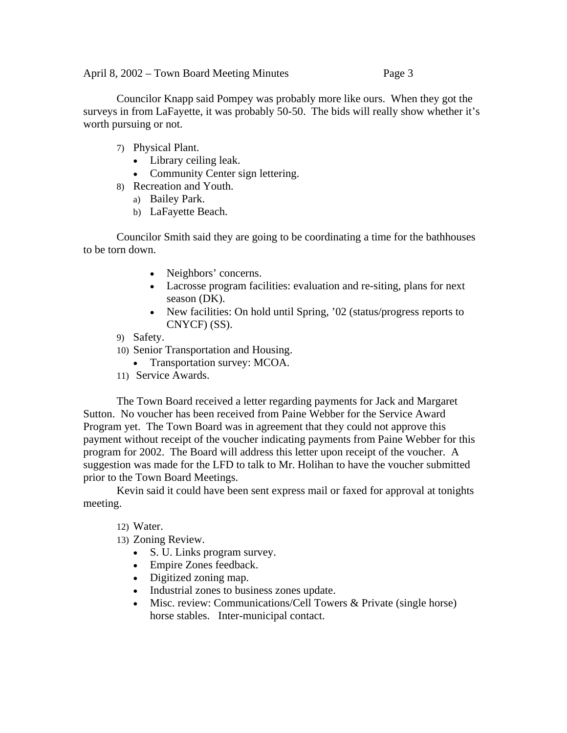Councilor Knapp said Pompey was probably more like ours. When they got the surveys in from LaFayette, it was probably 50-50. The bids will really show whether it's worth pursuing or not.

- 7) Physical Plant.
	- Library ceiling leak.
	- Community Center sign lettering.
- 8) Recreation and Youth.
	- a) Bailey Park.
	- b) LaFayette Beach.

Councilor Smith said they are going to be coordinating a time for the bathhouses to be torn down.

- Neighbors' concerns.
- Lacrosse program facilities: evaluation and re-siting, plans for next season (DK).
- New facilities: On hold until Spring, '02 (status/progress reports to CNYCF) (SS).
- 9) Safety.
- 10) Senior Transportation and Housing.
	- Transportation survey: MCOA.
- 11) Service Awards.

The Town Board received a letter regarding payments for Jack and Margaret Sutton. No voucher has been received from Paine Webber for the Service Award Program yet. The Town Board was in agreement that they could not approve this payment without receipt of the voucher indicating payments from Paine Webber for this program for 2002. The Board will address this letter upon receipt of the voucher. A suggestion was made for the LFD to talk to Mr. Holihan to have the voucher submitted prior to the Town Board Meetings.

Kevin said it could have been sent express mail or faxed for approval at tonights meeting.

12) Water.

- 13) Zoning Review.
	- S. U. Links program survey.
	- Empire Zones feedback.
	- Digitized zoning map.
	- Industrial zones to business zones update.
	- Misc. review: Communications/Cell Towers & Private (single horse) horse stables. Inter-municipal contact.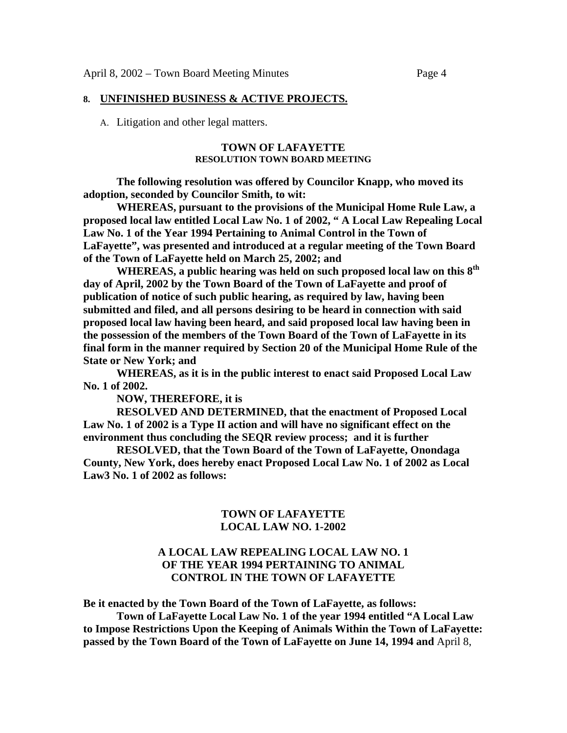#### **8. UNFINISHED BUSINESS & ACTIVE PROJECTS.**

A. Litigation and other legal matters.

#### **TOWN OF LAFAYETTE RESOLUTION TOWN BOARD MEETING**

**The following resolution was offered by Councilor Knapp, who moved its adoption, seconded by Councilor Smith, to wit:** 

 **WHEREAS, pursuant to the provisions of the Municipal Home Rule Law, a proposed local law entitled Local Law No. 1 of 2002, " A Local Law Repealing Local Law No. 1 of the Year 1994 Pertaining to Animal Control in the Town of LaFayette", was presented and introduced at a regular meeting of the Town Board of the Town of LaFayette held on March 25, 2002; and** 

 **WHEREAS, a public hearing was held on such proposed local law on this 8th day of April, 2002 by the Town Board of the Town of LaFayette and proof of publication of notice of such public hearing, as required by law, having been submitted and filed, and all persons desiring to be heard in connection with said proposed local law having been heard, and said proposed local law having been in the possession of the members of the Town Board of the Town of LaFayette in its final form in the manner required by Section 20 of the Municipal Home Rule of the State or New York; and** 

 **WHEREAS, as it is in the public interest to enact said Proposed Local Law No. 1 of 2002.** 

**NOW, THEREFORE, it is** 

**RESOLVED AND DETERMINED, that the enactment of Proposed Local Law No. 1 of 2002 is a Type II action and will have no significant effect on the environment thus concluding the SEQR review process; and it is further** 

**RESOLVED, that the Town Board of the Town of LaFayette, Onondaga County, New York, does hereby enact Proposed Local Law No. 1 of 2002 as Local Law3 No. 1 of 2002 as follows:** 

### **TOWN OF LAFAYETTE LOCAL LAW NO. 1-2002**

## **A LOCAL LAW REPEALING LOCAL LAW NO. 1 OF THE YEAR 1994 PERTAINING TO ANIMAL CONTROL IN THE TOWN OF LAFAYETTE**

**Be it enacted by the Town Board of the Town of LaFayette, as follows:** 

 **Town of LaFayette Local Law No. 1 of the year 1994 entitled "A Local Law to Impose Restrictions Upon the Keeping of Animals Within the Town of LaFayette: passed by the Town Board of the Town of LaFayette on June 14, 1994 and** April 8,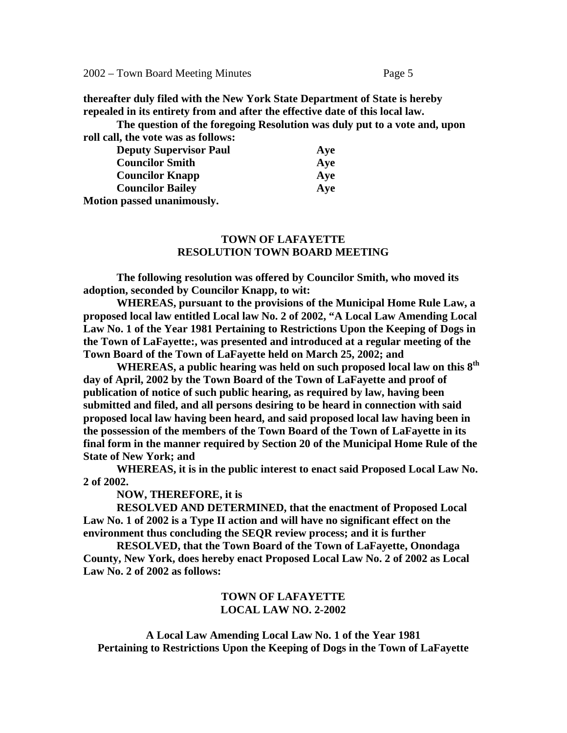2002 – Town Board Meeting Minutes Page 5

**thereafter duly filed with the New York State Department of State is hereby repealed in its entirety from and after the effective date of this local law.** 

 **The question of the foregoing Resolution was duly put to a vote and, upon roll call, the vote was as follows:** 

| TOIL Came the voic was as follows. |     |
|------------------------------------|-----|
| <b>Deputy Supervisor Paul</b>      | Aye |
| <b>Councilor Smith</b>             | Aye |
| <b>Councilor Knapp</b>             | Aye |
| <b>Councilor Bailey</b>            | Aye |
| Motion passed unanimously.         |     |

## **TOWN OF LAFAYETTE RESOLUTION TOWN BOARD MEETING**

 **The following resolution was offered by Councilor Smith, who moved its adoption, seconded by Councilor Knapp, to wit:** 

 **WHEREAS, pursuant to the provisions of the Municipal Home Rule Law, a proposed local law entitled Local law No. 2 of 2002, "A Local Law Amending Local Law No. 1 of the Year 1981 Pertaining to Restrictions Upon the Keeping of Dogs in the Town of LaFayette:, was presented and introduced at a regular meeting of the Town Board of the Town of LaFayette held on March 25, 2002; and** 

 **WHEREAS, a public hearing was held on such proposed local law on this 8th day of April, 2002 by the Town Board of the Town of LaFayette and proof of publication of notice of such public hearing, as required by law, having been submitted and filed, and all persons desiring to be heard in connection with said proposed local law having been heard, and said proposed local law having been in the possession of the members of the Town Board of the Town of LaFayette in its final form in the manner required by Section 20 of the Municipal Home Rule of the State of New York; and** 

 **WHEREAS, it is in the public interest to enact said Proposed Local Law No. 2 of 2002.** 

#### **NOW, THEREFORE, it is**

 **RESOLVED AND DETERMINED, that the enactment of Proposed Local Law No. 1 of 2002 is a Type II action and will have no significant effect on the environment thus concluding the SEQR review process; and it is further** 

 **RESOLVED, that the Town Board of the Town of LaFayette, Onondaga County, New York, does hereby enact Proposed Local Law No. 2 of 2002 as Local Law No. 2 of 2002 as follows:** 

### **TOWN OF LAFAYETTE LOCAL LAW NO. 2-2002**

**A Local Law Amending Local Law No. 1 of the Year 1981 Pertaining to Restrictions Upon the Keeping of Dogs in the Town of LaFayette**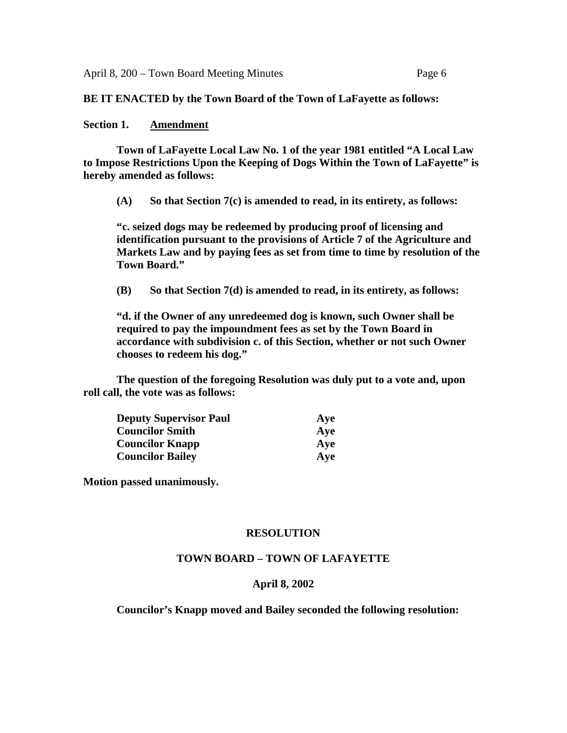**BE IT ENACTED by the Town Board of the Town of LaFayette as follows:** 

### **Section 1. Amendment**

 **Town of LaFayette Local Law No. 1 of the year 1981 entitled "A Local Law to Impose Restrictions Upon the Keeping of Dogs Within the Town of LaFayette" is hereby amended as follows:** 

**(A) So that Section 7(c) is amended to read, in its entirety, as follows:** 

**"c. seized dogs may be redeemed by producing proof of licensing and identification pursuant to the provisions of Article 7 of the Agriculture and Markets Law and by paying fees as set from time to time by resolution of the Town Board."** 

**(B) So that Section 7(d) is amended to read, in its entirety, as follows:** 

**"d. if the Owner of any unredeemed dog is known, such Owner shall be required to pay the impoundment fees as set by the Town Board in accordance with subdivision c. of this Section, whether or not such Owner chooses to redeem his dog."** 

**The question of the foregoing Resolution was duly put to a vote and, upon roll call, the vote was as follows:** 

| <b>Deputy Supervisor Paul</b> | Aye |
|-------------------------------|-----|
| <b>Councilor Smith</b>        | Aye |
| <b>Councilor Knapp</b>        | Aye |
| <b>Councilor Bailey</b>       | Ave |

**Motion passed unanimously.** 

## **RESOLUTION**

## **TOWN BOARD – TOWN OF LAFAYETTE**

#### **April 8, 2002**

 **Councilor's Knapp moved and Bailey seconded the following resolution:**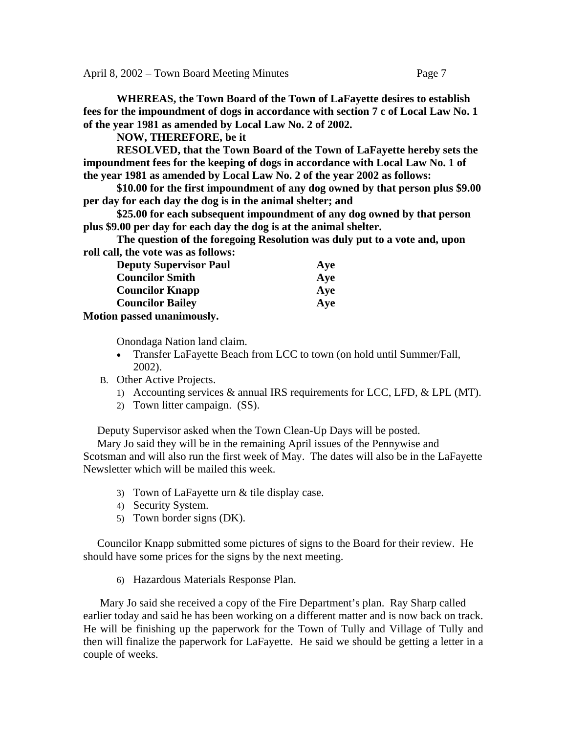**WHEREAS, the Town Board of the Town of LaFayette desires to establish fees for the impoundment of dogs in accordance with section 7 c of Local Law No. 1 of the year 1981 as amended by Local Law No. 2 of 2002.** 

**NOW, THEREFORE, be it** 

 **RESOLVED, that the Town Board of the Town of LaFayette hereby sets the impoundment fees for the keeping of dogs in accordance with Local Law No. 1 of the year 1981 as amended by Local Law No. 2 of the year 2002 as follows:** 

 **\$10.00 for the first impoundment of any dog owned by that person plus \$9.00 per day for each day the dog is in the animal shelter; and** 

 **\$25.00 for each subsequent impoundment of any dog owned by that person plus \$9.00 per day for each day the dog is at the animal shelter.** 

 **The question of the foregoing Resolution was duly put to a vote and, upon roll call, the vote was as follows:** 

| <b>Deputy Supervisor Paul</b> | Aye |
|-------------------------------|-----|
| <b>Councilor Smith</b>        | Aye |
| <b>Councilor Knapp</b>        | Aye |
| <b>Councilor Bailey</b>       | Ave |
| Motion passed unanimously.    |     |

Onondaga Nation land claim.

- Transfer LaFayette Beach from LCC to town (on hold until Summer/Fall, 2002).
- B. Other Active Projects.
	- 1) Accounting services & annual IRS requirements for LCC, LFD, & LPL (MT).
	- 2) Town litter campaign. (SS).

Deputy Supervisor asked when the Town Clean-Up Days will be posted.

 Mary Jo said they will be in the remaining April issues of the Pennywise and Scotsman and will also run the first week of May. The dates will also be in the LaFayette Newsletter which will be mailed this week.

- 3) Town of LaFayette urn & tile display case.
- 4) Security System.
- 5) Town border signs (DK).

 Councilor Knapp submitted some pictures of signs to the Board for their review. He should have some prices for the signs by the next meeting.

6) Hazardous Materials Response Plan.

Mary Jo said she received a copy of the Fire Department's plan. Ray Sharp called earlier today and said he has been working on a different matter and is now back on track. He will be finishing up the paperwork for the Town of Tully and Village of Tully and then will finalize the paperwork for LaFayette. He said we should be getting a letter in a couple of weeks.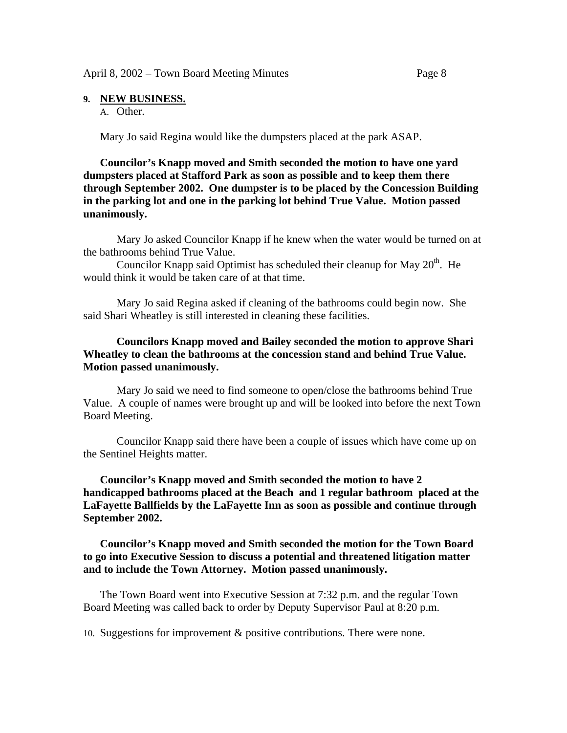#### **9. NEW BUSINESS.**

A. Other.

Mary Jo said Regina would like the dumpsters placed at the park ASAP.

## **Councilor's Knapp moved and Smith seconded the motion to have one yard dumpsters placed at Stafford Park as soon as possible and to keep them there through September 2002. One dumpster is to be placed by the Concession Building in the parking lot and one in the parking lot behind True Value. Motion passed unanimously.**

 Mary Jo asked Councilor Knapp if he knew when the water would be turned on at the bathrooms behind True Value.

Councilor Knapp said Optimist has scheduled their cleanup for May 20<sup>th</sup>. He would think it would be taken care of at that time.

 Mary Jo said Regina asked if cleaning of the bathrooms could begin now. She said Shari Wheatley is still interested in cleaning these facilities.

## **Councilors Knapp moved and Bailey seconded the motion to approve Shari Wheatley to clean the bathrooms at the concession stand and behind True Value. Motion passed unanimously.**

Mary Jo said we need to find someone to open/close the bathrooms behind True Value. A couple of names were brought up and will be looked into before the next Town Board Meeting.

 Councilor Knapp said there have been a couple of issues which have come up on the Sentinel Heights matter.

## **Councilor's Knapp moved and Smith seconded the motion to have 2 handicapped bathrooms placed at the Beach and 1 regular bathroom placed at the LaFayette Ballfields by the LaFayette Inn as soon as possible and continue through September 2002.**

**Councilor's Knapp moved and Smith seconded the motion for the Town Board to go into Executive Session to discuss a potential and threatened litigation matter and to include the Town Attorney. Motion passed unanimously.** 

The Town Board went into Executive Session at 7:32 p.m. and the regular Town Board Meeting was called back to order by Deputy Supervisor Paul at 8:20 p.m.

10. Suggestions for improvement & positive contributions. There were none.